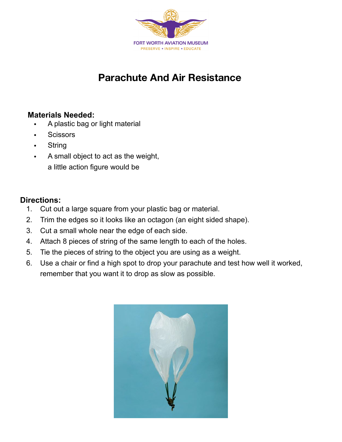

## **Parachute And Air Resistance**

## **Materials Needed:**

- A plastic bag or light material
- Scissors
- String
- A small object to act as the weight, a little action figure would be

## **Directions:**

- 1. Cut out a large square from your plastic bag or material.
- 2. Trim the edges so it looks like an octagon (an eight sided shape).
- 3. Cut a small whole near the edge of each side.
- 4. Attach 8 pieces of string of the same length to each of the holes.
- 5. Tie the pieces of string to the object you are using as a weight.
- 6. Use a chair or find a high spot to drop your parachute and test how well it worked, remember that you want it to drop as slow as possible.